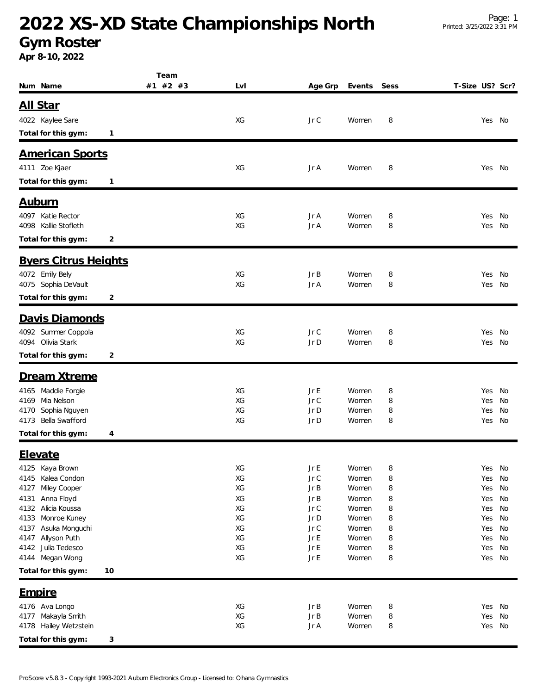### **2022 XS-XD State Championships North**

#### **Gym Roster**

**Apr 8-10, 2022**

|                                            | Team         |          |                           |                |        |                 |            |          |
|--------------------------------------------|--------------|----------|---------------------------|----------------|--------|-----------------|------------|----------|
| Num Name                                   | #1 #2 #3     | LvI      | Age Grp                   | Events         | Sess   | T-Size US? Scr? |            |          |
| <u>All Star</u>                            |              |          |                           |                |        |                 |            |          |
| 4022 Kaylee Sare                           |              | XG       | Jr C                      | Women          | 8      |                 | Yes        | No       |
| Total for this gym:                        | $\mathbf{1}$ |          |                           |                |        |                 |            |          |
|                                            |              |          |                           |                |        |                 |            |          |
| <b>American Sports</b>                     |              |          |                           |                |        |                 |            |          |
| 4111 Zoe Kjaer                             |              | XG       | Jr A                      | Women          | 8      |                 | Yes No     |          |
| Total for this gym:                        | $\mathbf{1}$ |          |                           |                |        |                 |            |          |
|                                            |              |          |                           |                |        |                 |            |          |
| <u>Auburn</u>                              |              |          |                           |                |        |                 |            |          |
| 4097 Katie Rector<br>4098 Kallie Stofleth  |              | XG<br>XG | Jr A<br>Jr A              | Women<br>Women | 8<br>8 |                 | Yes<br>Yes | No<br>No |
| Total for this gym:                        | 2            |          |                           |                |        |                 |            |          |
|                                            |              |          |                           |                |        |                 |            |          |
| <b>Byers Citrus Heights</b>                |              |          |                           |                |        |                 |            |          |
| 4072 Emily Bely                            |              | XG       | JrB                       | Women          | 8      |                 | Yes        | No       |
| 4075 Sophia DeVault                        |              | XG       | Jr A                      | Women          | 8      |                 | Yes        | No       |
| Total for this gym:                        | 2            |          |                           |                |        |                 |            |          |
| Davis Diamonds                             |              |          |                           |                |        |                 |            |          |
| 4092 Summer Coppola                        |              | XG       | JrC                       | Women          | 8      |                 | Yes        | No       |
| 4094 Olivia Stark                          |              | XG       | Jr D                      | Women          | 8      |                 | Yes        | No       |
| Total for this gym:                        | 2            |          |                           |                |        |                 |            |          |
| Dream Xtreme                               |              |          |                           |                |        |                 |            |          |
| 4165 Maddie Forgie                         |              | ХG       | Jr E                      | Women          | 8      |                 | Yes        | No       |
| Mia Nelson<br>4169                         |              | XG       | JrC                       | Women          | 8      |                 | Yes        | No       |
| Sophia Nguyen<br>4170                      |              | XG       | Jr D                      | Women          | 8      |                 | Yes        | No       |
| Bella Swafford<br>4173                     |              | XG       | Jr D                      | Women          | 8      |                 | Yes        | No       |
| Total for this gym:                        | 4            |          |                           |                |        |                 |            |          |
| <b>Elevate</b>                             |              |          |                           |                |        |                 |            |          |
| 4125<br>Kaya Brown                         |              | XG       | Jr E                      | Women          | 8      |                 | Yes        | No       |
| Kalea Condon<br>4145                       |              | XG       | $Jr \mathrel{\mathsf{C}}$ | Women          | 8      |                 | Yes        | No       |
| Miley Cooper<br>4127<br>Anna Floyd<br>4131 |              | XG<br>XG | JrB<br>JrB                | Women<br>Women | 8      |                 | Yes<br>Yes | No<br>No |
| Alicia Koussa<br>4132                      |              | XG       | Jr C                      | Women          | 8<br>8 |                 | Yes        | No       |
| Monroe Kuney<br>4133                       |              | XG       | Jr D                      | Women          | 8      |                 | Yes        | No       |
| Asuka Monguchi<br>4137                     |              | XG       | Jr C                      | Women          | 8      |                 | Yes        | No       |
| Allyson Puth<br>4147                       |              | XG       | JrE                       | Women          | 8      |                 | Yes        | No       |
| 4142 Julia Tedesco                         |              | XG       | JrE                       | Women          | 8      |                 | Yes        | No       |
| 4144 Megan Wong                            |              | XG       | JrE                       | Women          | 8      |                 | Yes No     |          |
| Total for this gym:<br>10                  |              |          |                           |                |        |                 |            |          |
| <u>Empire</u>                              |              |          |                           |                |        |                 |            |          |
| 4176 Ava Longo                             |              | XG       | JrB                       | Women          | 8      |                 | Yes No     |          |
| 4177 Makayla Smith                         |              | XG       | JrB                       | Women          | 8      |                 | Yes        | No       |
| 4178 Hailey Wetzstein                      |              | XG       | Jr A                      | Women          | 8      |                 | Yes No     |          |
| Total for this gym:                        | 3            |          |                           |                |        |                 |            |          |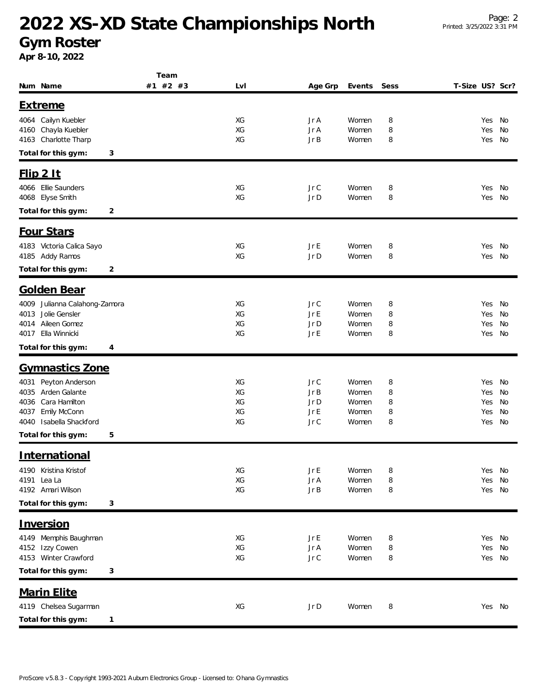## **2022 XS-XD State Championships North**

**Gym Roster**

**Apr 8-10, 2022**

|                                         | Team     |          |              |                |        |                 |            |          |  |
|-----------------------------------------|----------|----------|--------------|----------------|--------|-----------------|------------|----------|--|
| Num Name                                | #1 #2 #3 | Lvl      | Age Grp      | Events         | Sess   | T-Size US? Scr? |            |          |  |
| <b>Extreme</b>                          |          |          |              |                |        |                 |            |          |  |
| 4064 Cailyn Kuebler                     |          | XG       | Jr A         | Women          | 8      |                 | Yes        | No       |  |
| Chayla Kuebler<br>4160                  |          | XG       | Jr A         | Women          | 8      |                 | Yes        | No       |  |
| 4163 Charlotte Tharp                    |          | XG       | Jr B         | Women          | 8      |                 | Yes        | No       |  |
| Total for this gym:<br>3                |          |          |              |                |        |                 |            |          |  |
| $F$ lip $2$ It                          |          |          |              |                |        |                 |            |          |  |
|                                         |          |          |              |                |        |                 |            |          |  |
| 4066 Ellie Saunders<br>4068 Elyse Smith |          | XG<br>XG | Jr C<br>Jr D | Women<br>Women | 8<br>8 |                 | Yes<br>Yes | No<br>No |  |
|                                         |          |          |              |                |        |                 |            |          |  |
| Total for this gym:<br>2                |          |          |              |                |        |                 |            |          |  |
| <b>Four Stars</b>                       |          |          |              |                |        |                 |            |          |  |
| 4183 Victoria Calica Sayo               |          | XG       | Jr E         | Women          | 8      |                 | Yes        | No       |  |
| 4185 Addy Ramos                         |          | XG       | Jr D         | Women          | 8      |                 | Yes        | No       |  |
| Total for this gym:<br>2                |          |          |              |                |        |                 |            |          |  |
| <b>Golden Bear</b>                      |          |          |              |                |        |                 |            |          |  |
| 4009 Julianna Calahong-Zamora           |          | XG       | Jr C         | Women          | 8      |                 | Yes        | No       |  |
| Jolie Gensler<br>4013                   |          | XG       | Jr E         | Women          | 8      |                 | Yes        | No       |  |
| Aileen Gomez<br>4014                    |          | XG       | Jr D         | Women          | 8      |                 | Yes        | No       |  |
| Ella Winnicki<br>4017                   |          | XG       | Jr E         | Women          | 8      |                 | Yes        | No       |  |
| Total for this gym:<br>4                |          |          |              |                |        |                 |            |          |  |
| <b>Gymnastics Zone</b>                  |          |          |              |                |        |                 |            |          |  |
| Peyton Anderson<br>4031                 |          | XG       | Jr C         | Women          | 8      |                 | Yes        | No       |  |
| Arden Galante<br>4035                   |          | XG       | Jr B         | Women          | 8      |                 | Yes        | No       |  |
| Cara Hamilton<br>4036                   |          | XG       | Jr D         | Women          | 8      |                 | Yes        | No       |  |
| Emily McConn<br>4037                    |          | XG       | Jr E         | Women          | 8      |                 | Yes        | No       |  |
| 4040 Isabella Shackford                 |          | XG       | Jr C         | Women          | 8      |                 | Yes        | No       |  |
| Total for this gym:<br>5                |          |          |              |                |        |                 |            |          |  |
| <b>International</b>                    |          |          |              |                |        |                 |            |          |  |
| 4190 Kristina Kristof                   |          | XG       | Jr E         | Women          | 8      |                 | Yes No     |          |  |
| Lea La<br>4191                          |          | XG       | Jr A         | Women          | 8      |                 | Yes        | No       |  |
| 4192 Amari Wilson                       |          | XG       | Jr B         | Women          | 8      |                 | Yes        | No       |  |
| Total for this gym:<br>3                |          |          |              |                |        |                 |            |          |  |
| Inversion                               |          |          |              |                |        |                 |            |          |  |
| 4149 Memphis Baughman                   |          | XG       | Jr E         | Women          | 8      |                 | Yes No     |          |  |
| 4152 Izzy Cowen                         |          | XG       | Jr A         | Women          | 8      |                 | Yes        | No       |  |
| 4153 Winter Crawford                    |          | XG       | Jr C         | Women          | 8      |                 | Yes No     |          |  |
| Total for this gym:<br>3                |          |          |              |                |        |                 |            |          |  |
| <b>Marin Elite</b>                      |          |          |              |                |        |                 |            |          |  |
| 4119 Chelsea Sugarman                   |          | XG       | Jr D         | Women          | 8      |                 | Yes No     |          |  |
|                                         |          |          |              |                |        |                 |            |          |  |
| Total for this gym:<br>1                |          |          |              |                |        |                 |            |          |  |